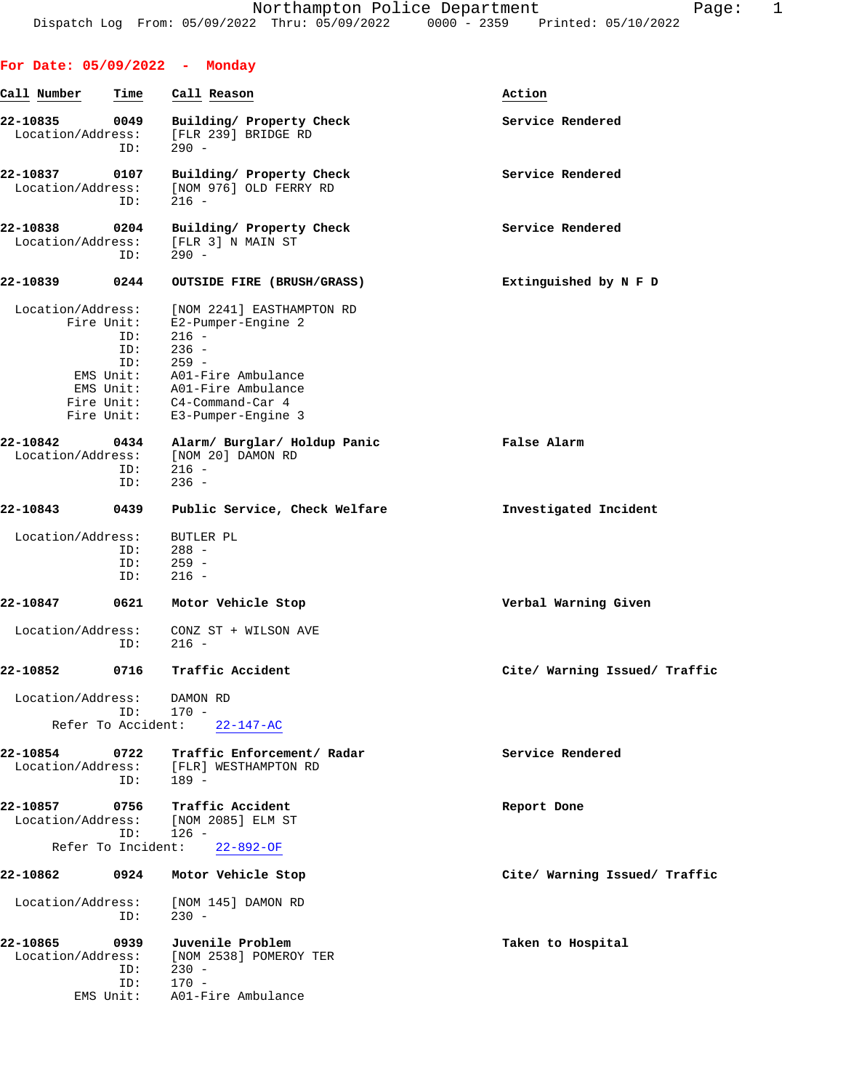| For Date: 05/09/2022 - Monday                |                    |                                                                                                                                                                                 |                               |
|----------------------------------------------|--------------------|---------------------------------------------------------------------------------------------------------------------------------------------------------------------------------|-------------------------------|
| Call Number                                  | Time               | Call Reason                                                                                                                                                                     | Action                        |
| 22-10835<br>Location/Address:                | 0049<br>ID:        | Building/ Property Check<br>[FLR 239] BRIDGE RD<br>$290 -$                                                                                                                      | Service Rendered              |
| 22-10837<br>Location/Address:                | 0107<br>ID:        | Building/ Property Check<br>[NOM 976] OLD FERRY RD<br>$216 -$                                                                                                                   | Service Rendered              |
| 22-10838<br>Location/Address:                | 0204<br>ID:        | Building/ Property Check<br>[FLR 3] N MAIN ST<br>$290 -$                                                                                                                        | Service Rendered              |
| 22-10839                                     | 0244               | OUTSIDE FIRE (BRUSH/GRASS)                                                                                                                                                      | Extinguished by N F D         |
| Location/Address:<br>Fire Unit:              | ID:<br>ID:<br>ID:  | [NOM 2241] EASTHAMPTON RD<br>E2-Pumper-Engine 2<br>$216 -$<br>$236 -$<br>$259 -$<br>EMS Unit: A01-Fire Ambulance<br>EMS Unit: A01-Fire Ambulance<br>Fire Unit: C4-Command-Car 4 |                               |
|                                              |                    | Fire Unit: E3-Pumper-Engine 3                                                                                                                                                   |                               |
| 22-10842                                     | 0434<br>ID:<br>ID: | Alarm/ Burglar/ Holdup Panic<br>Location/Address: [NOM 20] DAMON RD<br>$216 -$<br>$236 -$                                                                                       | False Alarm                   |
| 22-10843                                     | 0439               | Public Service, Check Welfare                                                                                                                                                   | Investigated Incident         |
| Location/Address:                            | ID:<br>ID:<br>ID:  | BUTLER PL<br>$288 -$<br>$259 -$<br>$216 -$                                                                                                                                      |                               |
| 22-10847                                     | 0621               | Motor Vehicle Stop                                                                                                                                                              | Verbal Warning Given          |
| Location/Address:                            | ID:                | CONZ ST + WILSON AVE<br>$216 -$                                                                                                                                                 |                               |
| 22-10852                                     | 0716               | Traffic Accident                                                                                                                                                                | Cite/ Warning Issued/ Traffic |
| Location/Address:<br>Refer To Accident:      | ID:                | DAMON RD<br>$170 -$<br>$22 - 147 - AC$                                                                                                                                          |                               |
| 22-10854<br>Location/Address:                | 0722<br>ID:        | Traffic Enforcement/ Radar<br>[FLR] WESTHAMPTON RD<br>$189 -$                                                                                                                   | Service Rendered              |
| 22-10857<br>Location/Address:                | 0756<br>ID:        | Traffic Accident<br>[NOM 2085] ELM ST<br>$126 -$                                                                                                                                | Report Done                   |
| Refer To Incident:                           |                    | $22 - 892 - OF$                                                                                                                                                                 |                               |
| 22-10862                                     | 0924               | Motor Vehicle Stop                                                                                                                                                              | Cite/ Warning Issued/ Traffic |
| Location/Address:                            | ID:                | [NOM 145] DAMON RD<br>$230 -$                                                                                                                                                   |                               |
| 22-10865<br>Location/Address:<br>$ENS$ Unit: | 0939<br>ID:<br>ID: | Juvenile Problem<br>[NOM 2538] POMEROY TER<br>$230 -$<br>$170 -$<br>A01-Fire Ambulance                                                                                          | Taken to Hospital             |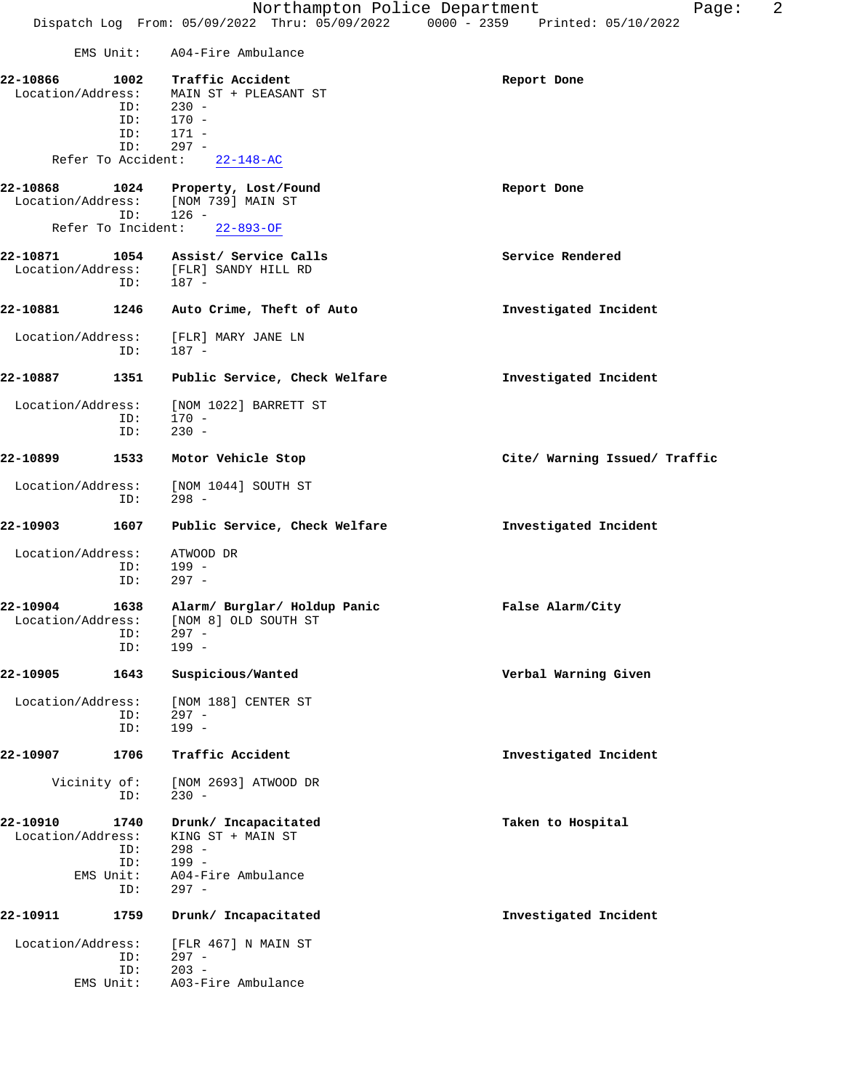| Northampton Police Department<br>Dispatch Log From: 05/09/2022 Thru: 05/09/2022 0000 - 2359 Printed: 05/10/2022<br>EMS Unit: A04-Fire Ambulance<br>22-10866<br>1002<br>Traffic Accident<br>Report Done<br>Location/Address: MAIN ST + PLEASANT ST<br>$230 -$<br>ID:<br>170 -<br>ID:<br>$171 -$<br>ID:<br>$297 -$<br>ID:<br>Refer To Accident: 22-148-AC<br>22-10868<br>1024 Property, Lost/Found<br>Report Done<br>Location/Address: [NOM 739] MAIN ST<br>$126 -$<br>ID:<br>Refer To Incident: 22-893-OF<br>22-10871<br>1054 Assist/ Service Calls<br>Service Rendered<br>Location/Address: [FLR] SANDY HILL RD<br>ID:<br>$187 -$<br>22-10881<br>1246<br>Auto Crime, Theft of Auto<br>Investigated Incident<br>Location/Address:<br>[FLR] MARY JANE LN<br>$187 -$<br>ID:<br>22-10887<br>1351<br>Public Service, Check Welfare<br>Investigated Incident<br>Location/Address:<br>[NOM 1022] BARRETT ST<br>$170 -$<br>ID:<br>$230 -$<br>ID:<br>22-10899<br>1533<br>Cite/ Warning Issued/ Traffic<br>Motor Vehicle Stop<br>Location/Address:<br>[NOM 1044] SOUTH ST<br>$298 -$<br>ID:<br>22-10903<br>1607<br>Public Service, Check Welfare<br>Investigated Incident<br>Location/Address:<br>ATWOOD DR<br>199 -<br>ID:<br>$297 -$<br>ID:<br>22-10904<br>1638<br>Alarm/ Burglar/ Holdup Panic<br>False Alarm/City<br>Location/Address:<br>[NOM 8] OLD SOUTH ST<br>$297 -$<br>ID:<br>$199 -$<br>ID:<br>22-10905<br>1643<br>Suspicious/Wanted<br>Verbal Warning Given<br>Location/Address:<br>[NOM 188] CENTER ST<br>ID:<br>$297 -$<br>$199 -$<br>ID: | 22-10907<br>1706 | Traffic Accident | Investigated Incident   |
|-----------------------------------------------------------------------------------------------------------------------------------------------------------------------------------------------------------------------------------------------------------------------------------------------------------------------------------------------------------------------------------------------------------------------------------------------------------------------------------------------------------------------------------------------------------------------------------------------------------------------------------------------------------------------------------------------------------------------------------------------------------------------------------------------------------------------------------------------------------------------------------------------------------------------------------------------------------------------------------------------------------------------------------------------------------------------------------------------------------------------------------------------------------------------------------------------------------------------------------------------------------------------------------------------------------------------------------------------------------------------------------------------------------------------------------------------------------------------------------------------------------------------------------------------|------------------|------------------|-------------------------|
|                                                                                                                                                                                                                                                                                                                                                                                                                                                                                                                                                                                                                                                                                                                                                                                                                                                                                                                                                                                                                                                                                                                                                                                                                                                                                                                                                                                                                                                                                                                                               |                  |                  |                         |
|                                                                                                                                                                                                                                                                                                                                                                                                                                                                                                                                                                                                                                                                                                                                                                                                                                                                                                                                                                                                                                                                                                                                                                                                                                                                                                                                                                                                                                                                                                                                               |                  |                  |                         |
|                                                                                                                                                                                                                                                                                                                                                                                                                                                                                                                                                                                                                                                                                                                                                                                                                                                                                                                                                                                                                                                                                                                                                                                                                                                                                                                                                                                                                                                                                                                                               |                  |                  |                         |
|                                                                                                                                                                                                                                                                                                                                                                                                                                                                                                                                                                                                                                                                                                                                                                                                                                                                                                                                                                                                                                                                                                                                                                                                                                                                                                                                                                                                                                                                                                                                               |                  |                  |                         |
|                                                                                                                                                                                                                                                                                                                                                                                                                                                                                                                                                                                                                                                                                                                                                                                                                                                                                                                                                                                                                                                                                                                                                                                                                                                                                                                                                                                                                                                                                                                                               |                  |                  |                         |
|                                                                                                                                                                                                                                                                                                                                                                                                                                                                                                                                                                                                                                                                                                                                                                                                                                                                                                                                                                                                                                                                                                                                                                                                                                                                                                                                                                                                                                                                                                                                               |                  |                  |                         |
|                                                                                                                                                                                                                                                                                                                                                                                                                                                                                                                                                                                                                                                                                                                                                                                                                                                                                                                                                                                                                                                                                                                                                                                                                                                                                                                                                                                                                                                                                                                                               |                  |                  |                         |
|                                                                                                                                                                                                                                                                                                                                                                                                                                                                                                                                                                                                                                                                                                                                                                                                                                                                                                                                                                                                                                                                                                                                                                                                                                                                                                                                                                                                                                                                                                                                               |                  |                  |                         |
|                                                                                                                                                                                                                                                                                                                                                                                                                                                                                                                                                                                                                                                                                                                                                                                                                                                                                                                                                                                                                                                                                                                                                                                                                                                                                                                                                                                                                                                                                                                                               |                  |                  |                         |
|                                                                                                                                                                                                                                                                                                                                                                                                                                                                                                                                                                                                                                                                                                                                                                                                                                                                                                                                                                                                                                                                                                                                                                                                                                                                                                                                                                                                                                                                                                                                               |                  |                  |                         |
|                                                                                                                                                                                                                                                                                                                                                                                                                                                                                                                                                                                                                                                                                                                                                                                                                                                                                                                                                                                                                                                                                                                                                                                                                                                                                                                                                                                                                                                                                                                                               |                  |                  |                         |
|                                                                                                                                                                                                                                                                                                                                                                                                                                                                                                                                                                                                                                                                                                                                                                                                                                                                                                                                                                                                                                                                                                                                                                                                                                                                                                                                                                                                                                                                                                                                               |                  |                  |                         |
|                                                                                                                                                                                                                                                                                                                                                                                                                                                                                                                                                                                                                                                                                                                                                                                                                                                                                                                                                                                                                                                                                                                                                                                                                                                                                                                                                                                                                                                                                                                                               |                  |                  |                         |
|                                                                                                                                                                                                                                                                                                                                                                                                                                                                                                                                                                                                                                                                                                                                                                                                                                                                                                                                                                                                                                                                                                                                                                                                                                                                                                                                                                                                                                                                                                                                               |                  |                  |                         |
|                                                                                                                                                                                                                                                                                                                                                                                                                                                                                                                                                                                                                                                                                                                                                                                                                                                                                                                                                                                                                                                                                                                                                                                                                                                                                                                                                                                                                                                                                                                                               |                  |                  |                         |
|                                                                                                                                                                                                                                                                                                                                                                                                                                                                                                                                                                                                                                                                                                                                                                                                                                                                                                                                                                                                                                                                                                                                                                                                                                                                                                                                                                                                                                                                                                                                               |                  |                  |                         |
|                                                                                                                                                                                                                                                                                                                                                                                                                                                                                                                                                                                                                                                                                                                                                                                                                                                                                                                                                                                                                                                                                                                                                                                                                                                                                                                                                                                                                                                                                                                                               |                  |                  |                         |
|                                                                                                                                                                                                                                                                                                                                                                                                                                                                                                                                                                                                                                                                                                                                                                                                                                                                                                                                                                                                                                                                                                                                                                                                                                                                                                                                                                                                                                                                                                                                               |                  |                  |                         |
|                                                                                                                                                                                                                                                                                                                                                                                                                                                                                                                                                                                                                                                                                                                                                                                                                                                                                                                                                                                                                                                                                                                                                                                                                                                                                                                                                                                                                                                                                                                                               |                  |                  |                         |
|                                                                                                                                                                                                                                                                                                                                                                                                                                                                                                                                                                                                                                                                                                                                                                                                                                                                                                                                                                                                                                                                                                                                                                                                                                                                                                                                                                                                                                                                                                                                               |                  |                  |                         |
|                                                                                                                                                                                                                                                                                                                                                                                                                                                                                                                                                                                                                                                                                                                                                                                                                                                                                                                                                                                                                                                                                                                                                                                                                                                                                                                                                                                                                                                                                                                                               |                  |                  |                         |
|                                                                                                                                                                                                                                                                                                                                                                                                                                                                                                                                                                                                                                                                                                                                                                                                                                                                                                                                                                                                                                                                                                                                                                                                                                                                                                                                                                                                                                                                                                                                               |                  |                  |                         |
|                                                                                                                                                                                                                                                                                                                                                                                                                                                                                                                                                                                                                                                                                                                                                                                                                                                                                                                                                                                                                                                                                                                                                                                                                                                                                                                                                                                                                                                                                                                                               |                  |                  |                         |
|                                                                                                                                                                                                                                                                                                                                                                                                                                                                                                                                                                                                                                                                                                                                                                                                                                                                                                                                                                                                                                                                                                                                                                                                                                                                                                                                                                                                                                                                                                                                               |                  |                  |                         |
|                                                                                                                                                                                                                                                                                                                                                                                                                                                                                                                                                                                                                                                                                                                                                                                                                                                                                                                                                                                                                                                                                                                                                                                                                                                                                                                                                                                                                                                                                                                                               |                  |                  |                         |
|                                                                                                                                                                                                                                                                                                                                                                                                                                                                                                                                                                                                                                                                                                                                                                                                                                                                                                                                                                                                                                                                                                                                                                                                                                                                                                                                                                                                                                                                                                                                               |                  |                  |                         |
|                                                                                                                                                                                                                                                                                                                                                                                                                                                                                                                                                                                                                                                                                                                                                                                                                                                                                                                                                                                                                                                                                                                                                                                                                                                                                                                                                                                                                                                                                                                                               |                  |                  |                         |
|                                                                                                                                                                                                                                                                                                                                                                                                                                                                                                                                                                                                                                                                                                                                                                                                                                                                                                                                                                                                                                                                                                                                                                                                                                                                                                                                                                                                                                                                                                                                               |                  |                  | rage:<br>$\overline{a}$ |

 Vicinity of: [NOM 2693] ATWOOD DR ID: 230 - **22-10910 1740 Drunk/ Incapacitated Taken to Hospital** Location/Address: KING ST + MAIN ST ID: 298 - ID: 199 - EMS Unit: A04-Fire Ambulance ID: 297 - **22-10911 1759 Drunk/ Incapacitated Investigated Incident**

 Location/Address: [FLR 467] N MAIN ST ID: 297 - ID: 203 - EMS Unit: A03-Fire Ambulance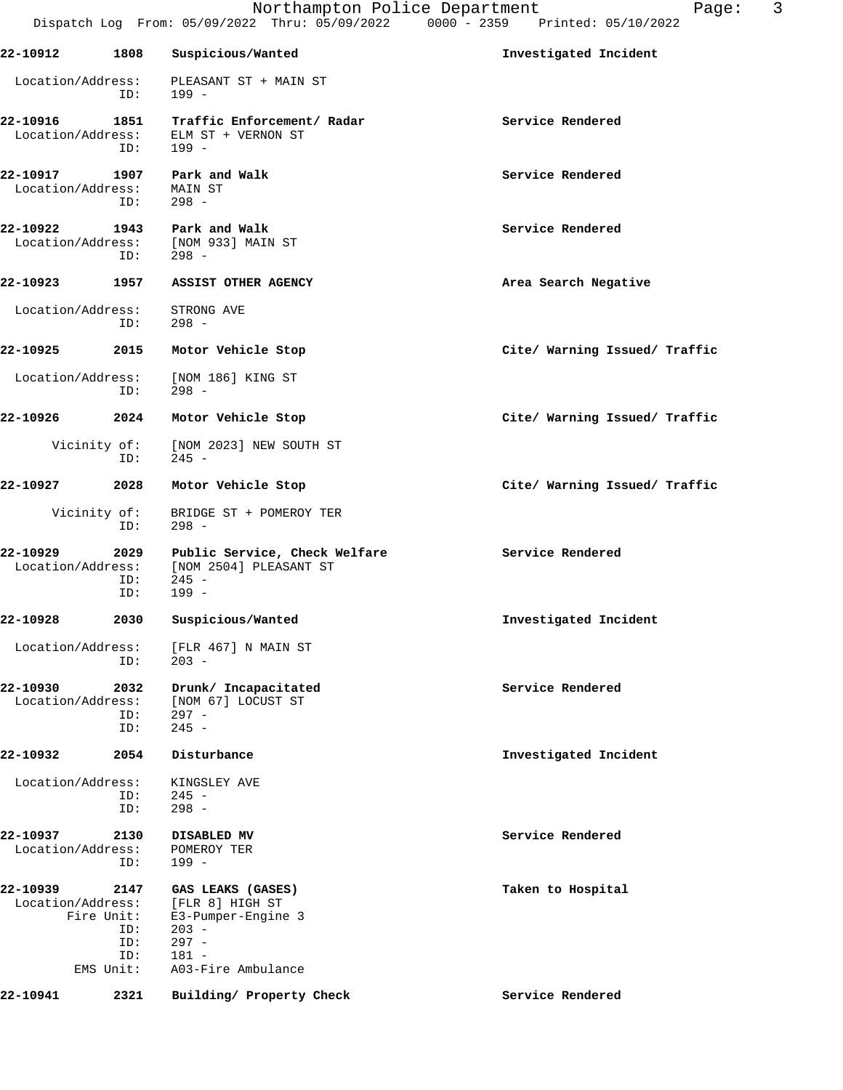|                               |                    | Dispatch Log From: 05/09/2022 Thru: 05/09/2022                                | 3<br>Northampton Police Department<br>Page:<br>$0000 - 2359$<br>Printed: 05/10/2022 |
|-------------------------------|--------------------|-------------------------------------------------------------------------------|-------------------------------------------------------------------------------------|
| 22-10912                      | 1808               | Suspicious/Wanted                                                             | Investigated Incident                                                               |
| Location/Address:             | ID:                | PLEASANT ST + MAIN ST<br>199 -                                                |                                                                                     |
| 22-10916<br>Location/Address: | 1851<br>ID:        | Traffic Enforcement/ Radar<br>ELM ST + VERNON ST<br>199 -                     | Service Rendered                                                                    |
| 22-10917<br>Location/Address: | 1907<br>ID:        | Park and Walk<br>MAIN ST<br>$298 -$                                           | Service Rendered                                                                    |
| 22-10922<br>Location/Address: | 1943<br>ID:        | Park and Walk<br>[NOM 933] MAIN ST<br>$298 -$                                 | Service Rendered                                                                    |
| 22-10923                      | 1957               | ASSIST OTHER AGENCY                                                           | Area Search Negative                                                                |
| Location/Address:             | ID:                | STRONG AVE<br>$298 -$                                                         |                                                                                     |
| 22-10925                      | 2015               | Motor Vehicle Stop                                                            | Cite/ Warning Issued/ Traffic                                                       |
| Location/Address:             | ID:                | [NOM 186] KING ST<br>$298 -$                                                  |                                                                                     |
| 22-10926                      | 2024               | Motor Vehicle Stop                                                            | Cite/ Warning Issued/ Traffic                                                       |
| Vicinity of:                  | ID:                | [NOM 2023] NEW SOUTH ST<br>$245 -$                                            |                                                                                     |
| 22-10927                      | 2028               | Motor Vehicle Stop                                                            | Cite/ Warning Issued/ Traffic                                                       |
| Vicinity of:                  | ID:                | BRIDGE ST + POMEROY TER<br>$298 -$                                            |                                                                                     |
| 22-10929<br>Location/Address: | 2029<br>ID:<br>ID: | Public Service, Check Welfare<br>[NOM 2504] PLEASANT ST<br>$245 -$<br>$199 -$ | Service Rendered                                                                    |
| 22-10928                      | 2030               | Suspicious/Wanted                                                             | Investigated Incident                                                               |
|                               |                    |                                                                               |                                                                                     |

 Location/Address: [FLR 467] N MAIN ST ID: 203 -

**22-10930 2032 Drunk/ Incapacitated Service Rendered** Location/Address: [NOM 67] LOCUST ST ID: 297 -<br>ID: 245 - $245 -$ 

**22-10932 2054 Disturbance Investigated Incident** Location/Address: KINGSLEY AVE

 ID: 245 - ID: 298 -

**22-10937 2130 DISABLED MV Service Rendered** Location/Address: POMEROY TER ID: 199 -

**22-10939 2147 GAS LEAKS (GASES) Taken to Hospital** Location/Address: [FLR 8] HIGH ST Fire Unit: E3-Pumper-Engine 3 ID: 203 - ID: 297 - ID: 181 - EMS Unit: A03-Fire Ambulance

**22-10941 2321 Building/ Property Check Service Rendered**